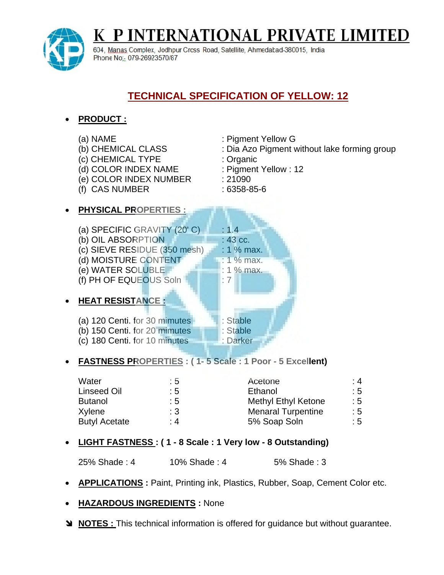**P INTERNATIONAL PRIVATE LIMITED** 



**PRODUCT :**

K

604. Manas Complex. Jodhpur Cross Road, Satellite, Ahmedabad-380015. India Phone No: 079-26923570/87

## **TECHNICAL SPECIFICATION OF YELLOW: 12**

## (a) NAME : Pigment Yellow G (b) CHEMICAL CLASS : Dia Azo Pigment without lake forming group (c) CHEMICAL TYPE : Organic (d) COLOR INDEX NAME : Pigment Yellow : 12 (e) COLOR INDEX NUMBER : 21090 (f) CAS NUMBER : 6358-85-6 **PHYSICAL PROPERTIES :** (a) SPECIFIC GRAVITY  $(20^{\circ}$  C)  $\Box$  : 1.4 (b) OIL ABSORPTION  $: 43 \text{ cc}$ . (c) SIEVE RESIDUE  $(350 \text{ mesh}) + 1\% \text{ max}$ . (d) MOISTURE CONTENT : 1 % max. (e) WATER SOLUBLE : 1 % max. (f) PH OF EQUEOUS Soln  $\blacksquare$ : 7 **HEAT RESISTANCE :** (a) 120 Centi. for 30 minutes : Stable (b) 150 Centi. for 20 mimutes : Stable (c) 180 Centi. for 10 minutes : Darker **FASTNESS PROPERTIES : ( 1- 5 Scale : 1 Poor - 5 Excellent)**

| Water                | : 5            | Acetone                    | :4             |
|----------------------|----------------|----------------------------|----------------|
| Linseed Oil          | $\therefore$ 5 | Ethanol                    | : 5            |
| <b>Butanol</b>       | : 5            | <b>Methyl Ethyl Ketone</b> | :5             |
| Xylene               | $\therefore$ 3 | <b>Menaral Turpentine</b>  | $\therefore$ 5 |
| <b>Butyl Acetate</b> | : 4            | 5% Soap Soln               | $\mathbf{.5}$  |

**LIGHT FASTNESS : ( 1 - 8 Scale : 1 Very low - 8 Outstanding)**

25% Shade : 4 10% Shade : 4 5% Shade : 3

- **APPLICATIONS**: Paint, Printing ink, Plastics, Rubber, Soap, Cement Color etc.
- **HAZARDOUS INGREDIENTS :** None
- **NOTES :** This technical information is offered for guidance but without guarantee.